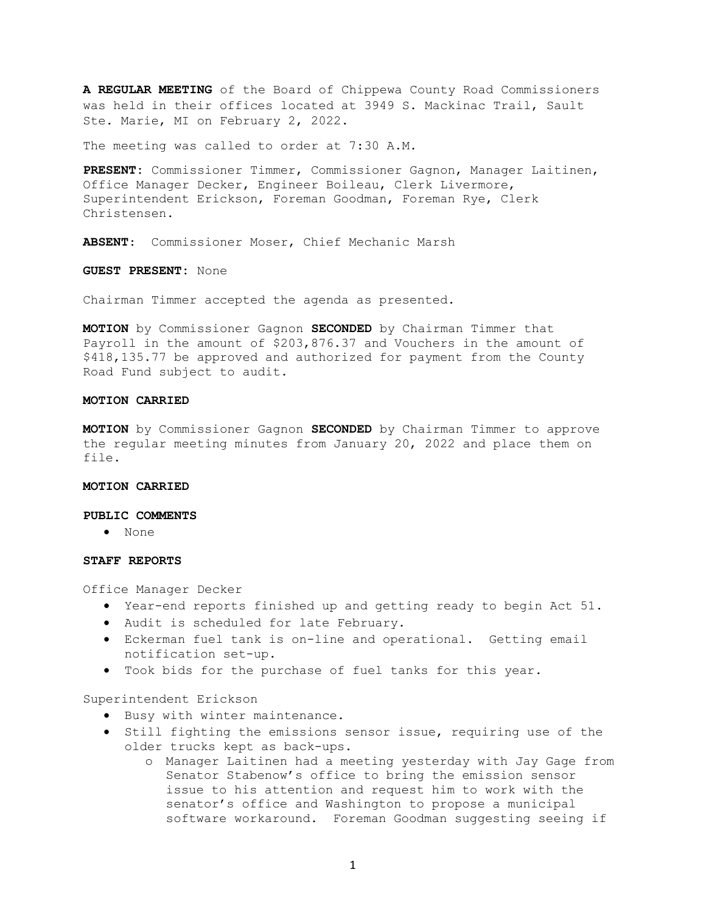A REGULAR MEETING of the Board of Chippewa County Road Commissioners was held in their offices located at 3949 S. Mackinac Trail, Sault Ste. Marie, MI on February 2, 2022.

The meeting was called to order at 7:30 A.M.

PRESENT: Commissioner Timmer, Commissioner Gagnon, Manager Laitinen, Office Manager Decker, Engineer Boileau, Clerk Livermore, Superintendent Erickson, Foreman Goodman, Foreman Rye, Clerk Christensen.

ABSENT: Commissioner Moser, Chief Mechanic Marsh

GUEST PRESENT: None

Chairman Timmer accepted the agenda as presented.

MOTION by Commissioner Gagnon SECONDED by Chairman Timmer that Payroll in the amount of \$203,876.37 and Vouchers in the amount of \$418,135.77 be approved and authorized for payment from the County Road Fund subject to audit.

### MOTION CARRIED

MOTION by Commissioner Gagnon SECONDED by Chairman Timmer to approve the regular meeting minutes from January 20, 2022 and place them on file.

#### MOTION CARRIED

#### PUBLIC COMMENTS

None

### STAFF REPORTS

Office Manager Decker

- Year-end reports finished up and getting ready to begin Act 51.
- Audit is scheduled for late February.
- Eckerman fuel tank is on-line and operational. Getting email notification set-up.
- Took bids for the purchase of fuel tanks for this year.

Superintendent Erickson

- **•** Busy with winter maintenance.
- $\bullet$  Still fighting the emissions sensor issue, requiring use of the older trucks kept as back-ups.
	- o Manager Laitinen had a meeting yesterday with Jay Gage from Senator Stabenow's office to bring the emission sensor issue to his attention and request him to work with the senator's office and Washington to propose a municipal software workaround. Foreman Goodman suggesting seeing if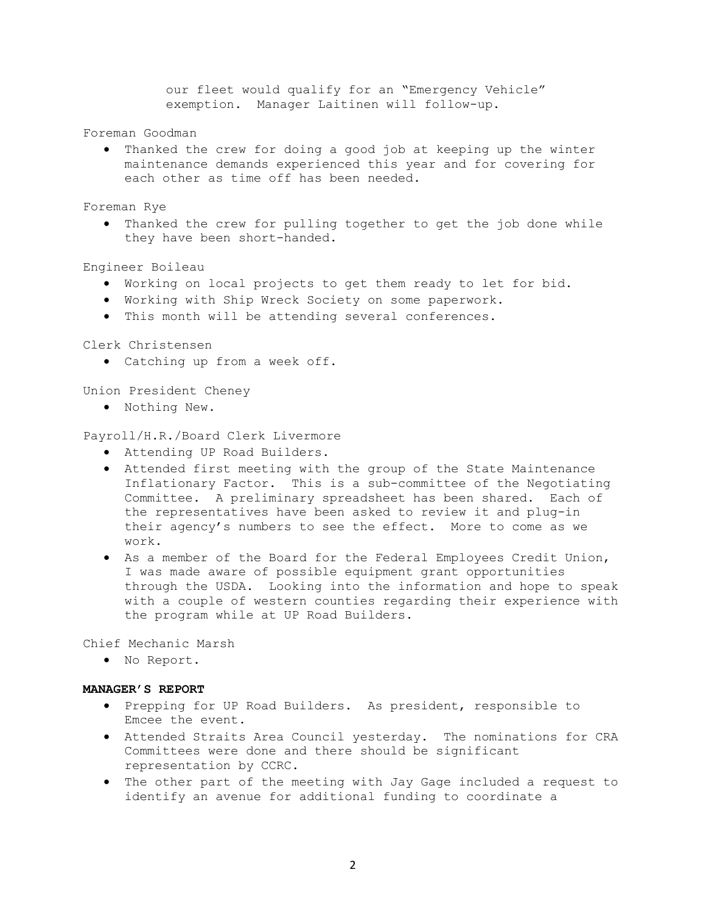our fleet would qualify for an "Emergency Vehicle" exemption. Manager Laitinen will follow-up.

Foreman Goodman

 Thanked the crew for doing a good job at keeping up the winter maintenance demands experienced this year and for covering for each other as time off has been needed.

Foreman Rye

 Thanked the crew for pulling together to get the job done while they have been short-handed.

Engineer Boileau

- Working on local projects to get them ready to let for bid.
- Working with Ship Wreck Society on some paperwork.
- This month will be attending several conferences.

Clerk Christensen

Catching up from a week off.

Union President Cheney

Nothing New.

Payroll/H.R./Board Clerk Livermore

- Attending UP Road Builders.
- Attended first meeting with the group of the State Maintenance Inflationary Factor. This is a sub-committee of the Negotiating Committee. A preliminary spreadsheet has been shared. Each of the representatives have been asked to review it and plug-in their agency's numbers to see the effect. More to come as we work.
- As a member of the Board for the Federal Employees Credit Union, I was made aware of possible equipment grant opportunities through the USDA. Looking into the information and hope to speak with a couple of western counties regarding their experience with the program while at UP Road Builders.

Chief Mechanic Marsh

. No Report.

# MANAGER'S REPORT

- Prepping for UP Road Builders. As president, responsible to Emcee the event.
- Attended Straits Area Council yesterday. The nominations for CRA Committees were done and there should be significant representation by CCRC.
- The other part of the meeting with Jay Gage included a request to identify an avenue for additional funding to coordinate a